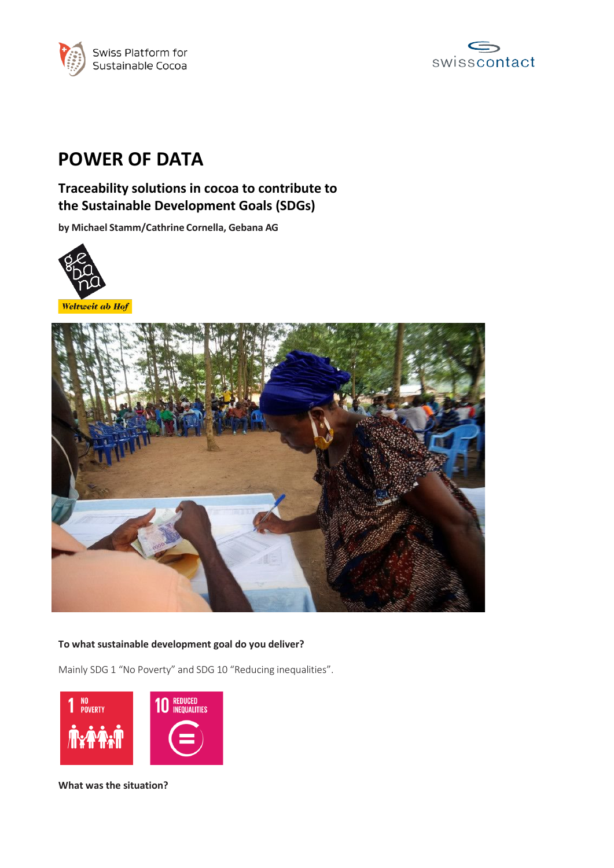



# **POWER OF DATA**

# **Traceability solutions in cocoa to contribute to the Sustainable Development Goals (SDGs)**

**by Michael Stamm/Cathrine Cornella, Gebana AG**



Weltweit ab Hof



# **To what sustainable development goal do you deliver?**

Mainly SDG 1 "No Poverty" and SDG 10 "Reducing inequalities".



**What was the situation?**